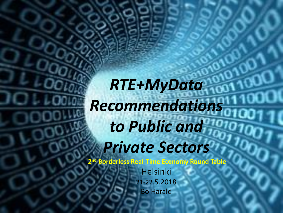*RTE+MyData Recommendations to Public and Private Sectors*

**2 nd Borderless Real-Time Economy Round Table**

Helsinki 21-22.5.2018 Bo Harald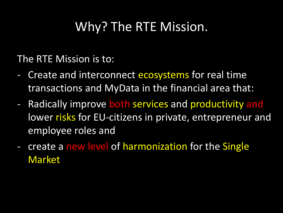## Why? The RTE Mission.

The RTE Mission is to:

- Create and interconnect ecosystems for real time transactions and MyData in the financial area that:
- Radically improve both services and productivity and lower risks for EU-citizens in private, entrepreneur and employee roles and
- create a new level of harmonization for the Single Market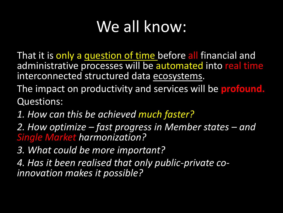# We all know:

That it is only a question of time before all financial and administrative processes will be automated into real time interconnected structured data ecosystems.

The impact on productivity and services will be **profound.**  Questions:

- *1. How can this be achieved much faster?*
- *2. How optimize – fast progress in Member states – and Single Market harmonization?*
- *3. What could be more important?*
- *4. Has it been realised that only public-private coinnovation makes it possible?*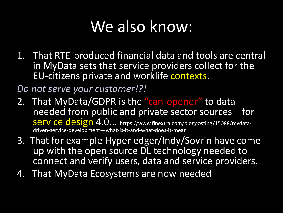# We also know:

1. That RTE-produced financial data and tools are central in MyData sets that service providers collect for the EU-citizens private and worklife contexts.

*Do not serve your customer!?!*

- 2. That MyData/GDPR is the "can-opener" to data needed from public and private sector sources – for service design 4.0... https://www.finextra.com/blogposting/15088/mydatadriven-service-development---what-is-it-and-what-does-it-mean
- 3. That for example Hyperledger/Indy/Sovrin have come up with the open source DL technology needed to connect and verify users, data and service providers.
- 4. That MyData Ecosystems are now needed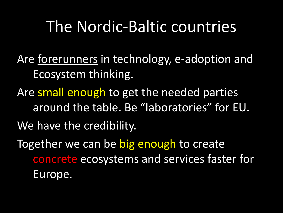## The Nordic-Baltic countries

Are forerunners in technology, e-adoption and Ecosystem thinking.

Are small enough to get the needed parties around the table. Be "laboratories" for EU. We have the credibility.

Together we can be big enough to create concrete ecosystems and services faster for Europe.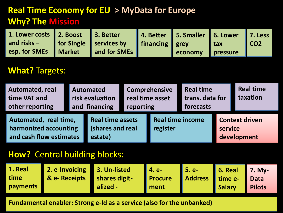### **Real Time Economy for EU > MyData for Europe Why? The Mission**

| 1. Lower costs 2. Boost 3. Better                         |  | 4. Better 5. Smaller 6. Lower 7. Less |                     |      |
|-----------------------------------------------------------|--|---------------------------------------|---------------------|------|
| and risks –   for Single   services by   financing   grey |  |                                       | <b>Exercise Law</b> | ICO2 |
| esp. for SMEs   Market   and for SMEs                     |  | economy pressure                      |                     |      |

#### **What?** Targets:

| <b>Automated, real</b><br>time VAT and<br>other reporting                 | <b>Automated</b><br>risk evaluation<br>and financing |                                                        | <b>Comprehensive</b><br>real time asset<br>reporting |                                     | <b>Real time</b><br>trans. data for<br>forecasts |                                                 | <b>Real time</b><br>taxation |
|---------------------------------------------------------------------------|------------------------------------------------------|--------------------------------------------------------|------------------------------------------------------|-------------------------------------|--------------------------------------------------|-------------------------------------------------|------------------------------|
| Automated, real time,<br>harmonized accounting<br>and cash flow estimates |                                                      | <b>Real time assets</b><br>(shares and real<br>estate) |                                                      | <b>Real time income</b><br>register |                                                  | <b>Context driven</b><br>service<br>development |                              |

#### **How?** Central building blocks:

| 1. Real  | 2. e-Invoicing 3. Un-listed |               | <b>4. e-</b>   | l 5. e-              | <b>6. Real</b> 7. My- |               |
|----------|-----------------------------|---------------|----------------|----------------------|-----------------------|---------------|
| time     | <b>&amp; e- Receipts</b>    | shares digit- | <b>Procure</b> | Address time e- Data |                       |               |
| payments |                             | alized -      | ment           |                      | <b>Salary</b>         | <b>Pilots</b> |

**Fundamental enabler: Strong e-Id as a service (also for the unbanked)**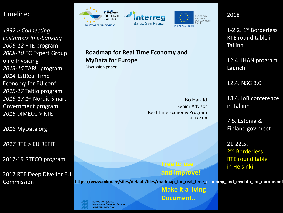#### Timeline:

*1992 > Connecting customers in e-banking 2006-12* RTE program *2008-10* EC Expert Group on e-Invoicing *2013-15* TARU program *2014* 1stReal Time Economy for EU conf *2015-17* Taltio program *2016-17 1st* Nordic Smart Government program *2016* DIMECC > RTE

*2016* MyData.org

*2017* RTE > EU REFIT

2017-19 RTECO program

2017 RTE Deep Dive for EU Commission



**Roadmap for Real Time Economy and MyData for Europe** 

Discussion paper

**REPUBLIC OF ESTONIA MINISTRY OF ECONOMIC AFFAIRS AND COMMUNICATIONS** 

Bo Harald Senior Advisor Real Time Economy Program 31.03.2018 

> **Free to use and improve!**

2018

**EUROPEAN** 

REGIONAL **DEVELOPMENT** 

**FUND** 

1-2.2. 1st Borderless RTE round table in **Tallinn** 

12.4. IHAN program Launch

12.4. NSG 3.0

18.4. IoB conference in Tallinn

7.5. Estonia & Finland gov meet

21-22.5. 2<sup>nd</sup> Borderless RTE round table in Helsinki

https://www.mkm.ee/sites/default/files/roadmap\_for\_real\_time\_economy\_and\_mydata\_for\_europe.pdf

**Make it a living Document..**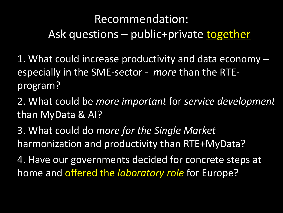## Recommendation: Ask questions – public+private together

- 1. What could increase productivity and data economy especially in the SME-sector - *more* than the RTEprogram?
- 2. What could be *more important* for *service development*  than MyData & AI?
- 3. What could do *more for the Single Market*  harmonization and productivity than RTE+MyData?
- 4. Have our governments decided for concrete steps at home and offered the *laboratory role* for Europe?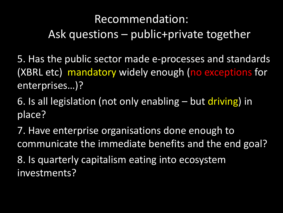## Recommendation: Ask questions – public+private together

5. Has the public sector made e-processes and standards (XBRL etc) mandatory widely enough (no exceptions for enterprises…)?

6. Is all legislation (not only enabling – but driving) in place?

7. Have enterprise organisations done enough to communicate the immediate benefits and the end goal? 8. Is quarterly capitalism eating into ecosystem investments?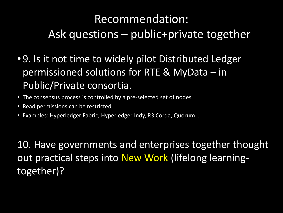## Recommendation: Ask questions – public+private together

- 9. Is it not time to widely pilot Distributed Ledger permissioned solutions for RTE & MyData – in Public/Private consortia.
- The consensus process is controlled by a pre-selected set of nodes
- Read permissions can be restricted
- Examples: Hyperledger Fabric, Hyperledger Indy, R3 Corda, Quorum…

10. Have governments and enterprises together thought out practical steps into New Work (lifelong learningtogether)?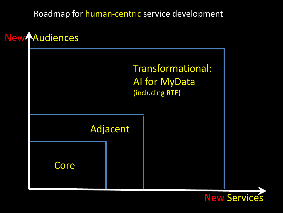Roadmap for human-centric service development